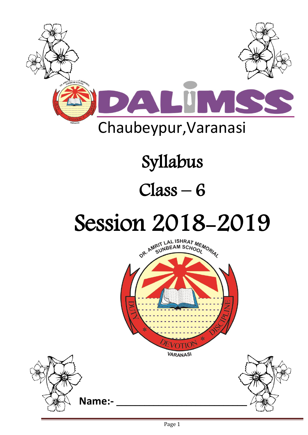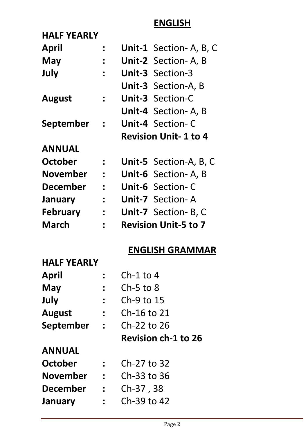## **ENGLISH**

| <b>HALF YEARLY</b> |                |                             |
|--------------------|----------------|-----------------------------|
| <b>April</b>       |                | Unit-1 Section-A, B, C      |
| May                | $\ddot{\cdot}$ | Unit-2 Section-A, B         |
| July               |                | <b>Unit-3 Section-3</b>     |
|                    |                | Unit-3 Section-A, B         |
| <b>August</b>      | $\frac{1}{2}$  | <b>Unit-3 Section-C</b>     |
|                    |                | Unit-4 Section-A, B         |
| <b>September</b>   | $\mathbf{r}$   | <b>Unit-4 Section-C</b>     |
|                    |                |                             |
|                    |                | <b>Revision Unit-1 to 4</b> |
| <b>ANNUAL</b>      |                |                             |
| October            |                | Unit-5 Section-A, B, C      |
| <b>November</b>    | $\frac{1}{2}$  | Unit-6 Section-A, B         |
| <b>December</b>    | $\mathbf{r}$   | Unit-6 Section-C            |
| January            | $\ddot{\cdot}$ | <b>Unit-7</b> Section-A     |
| <b>February</b>    | $\ddot{\cdot}$ | Unit-7 Section- B, C        |

### **ENGLISH GRAMMAR**

#### **HALF YEARLY**

| April           |                | $Ch-1$ to 4                |
|-----------------|----------------|----------------------------|
| May             |                | $Ch-5$ to 8                |
| July            | $\ddot{\cdot}$ | Ch-9 to 15                 |
| <b>August</b>   | $\ddot{\cdot}$ | Ch-16 to 21                |
| September       | $\mathbf{r}$   | Ch-22 to 26                |
|                 |                | <b>Revision ch-1 to 26</b> |
| <b>ANNUAL</b>   |                |                            |
| October         |                | Ch-27 to 32                |
|                 |                |                            |
| <b>November</b> | $\frac{1}{2}$  | Ch-33 to 36                |
| <b>December</b> |                | Ch-37, 38                  |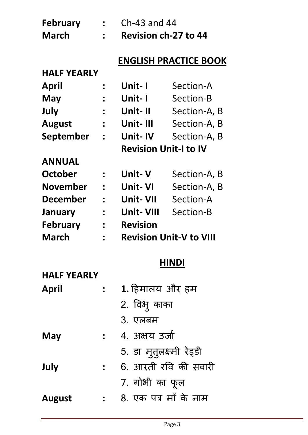| <b>February</b>    |                      | Ch-43 and 44                 |                                |
|--------------------|----------------------|------------------------------|--------------------------------|
| March              |                      | <b>Revision ch-27 to 44</b>  |                                |
|                    |                      |                              | <b>ENGLISH PRACTICE BOOK</b>   |
| <b>HALF YEARLY</b> |                      |                              |                                |
| April              | $\ddot{\bullet}$     | Unit- I                      | Section-A                      |
| May                | $\ddot{\phantom{a}}$ | Unit- I                      | Section-B                      |
| July               | $\ddot{\cdot}$       | Unit-II                      | Section-A, B                   |
| <b>August</b>      | $\ddot{\cdot}$       | Unit-III                     | Section-A, B                   |
| September          | $\ddot{\phantom{a}}$ | Unit-IV                      | Section-A, B                   |
|                    |                      | <b>Revision Unit-I to IV</b> |                                |
| <b>ANNUAL</b>      |                      |                              |                                |
| October            |                      | Unit- V                      | Section-A, B                   |
| November           |                      | Unit- VI                     | Section-A, B                   |
| <b>December</b>    |                      | Unit- VII                    | Section-A                      |
| <b>January</b>     |                      | Unit- VIII                   | Section-B                      |
| <b>February</b>    |                      | Revision                     |                                |
| March              |                      |                              | <b>Revision Unit-V to VIII</b> |
|                    |                      |                              | <b>HINDI</b>                   |
| <b>HALF YEARLY</b> |                      |                              |                                |
| <b>April</b>       | $\ddot{\bullet}$     | 1. हिमालय और हम              |                                |
|                    |                      | 2. विभु काका                 |                                |
|                    |                      | 3. एलबम                      |                                |
| May                | $\frac{1}{2}$        | 4. अक्षय उर्जा               |                                |
|                    |                      | 5. डा मुत्तलक्ष्मी रेड्डी    |                                |
| July               | $\frac{1}{2}$        |                              | 6. आरती रवि की सवारी           |
|                    |                      | 7. गोभी का फूल               |                                |
| <b>August</b>      |                      | 8. एक पत्र माँ के नाम        |                                |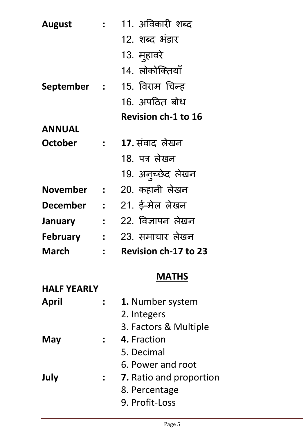| <b>August</b>      |                      | 11. अविकारी शब्द            |
|--------------------|----------------------|-----------------------------|
|                    |                      | 12. शब्द भंडार              |
|                    |                      | 13. मुहावरे                 |
|                    |                      | 14. लोकोक्तियाँ             |
| September          | $\ddot{\phantom{a}}$ | 15. विराम चिन्ह             |
|                    |                      | 16. अपठित बोध               |
|                    |                      | <b>Revision ch-1 to 16</b>  |
| <b>ANNUAL</b>      |                      |                             |
| <b>October</b>     | $\frac{1}{2}$        | 17. संवाद लेखन              |
|                    |                      | 18. पत्र लेखन               |
|                    |                      | 19. अनुच्छेद लेखन           |
| November           | $\ddot{\bullet}$     | 20. कहानी लेखन              |
| December           | $\ddot{\cdot}$       | 21. ई-मेल लेखन              |
| <b>January</b>     | $\ddot{\phantom{a}}$ | 22. विज्ञापन लेखन           |
| <b>February</b>    | $\ddot{\phantom{a}}$ | 23. समाचार लेखन             |
| <b>March</b>       |                      | <b>Revision ch-17 to 23</b> |
|                    |                      | <b>MATHS</b>                |
| <b>HALF YEARLY</b> |                      |                             |
| April              |                      | 1. Number system            |

| 1. Number system      |
|-----------------------|
| 2. Integers           |
| 3. Factors & Multiple |
| 4. Fraction           |
| 5. Decimal            |

- 6. Power and root
- **July : 7.** Ratio and proportion

 $\mathbf{May}$ 

- 8. Percentage
- 9. Profit-Loss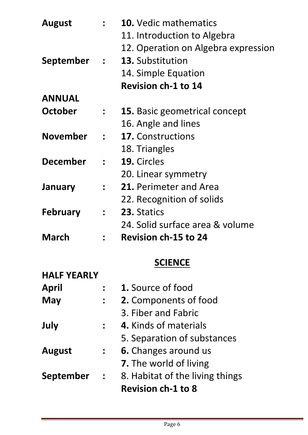| <b>August</b>      |                      | <b>10.</b> Vedic mathematics<br>11. Introduction to Algebra<br>12. Operation on Algebra expression |
|--------------------|----------------------|----------------------------------------------------------------------------------------------------|
| September          | $\mathcal{L}$        | 13. Substitution<br>14. Simple Equation                                                            |
|                    |                      | <b>Revision ch-1 to 14</b>                                                                         |
| <b>ANNUAL</b>      |                      |                                                                                                    |
| <b>October</b>     |                      | <b>15.</b> Basic geometrical concept                                                               |
|                    |                      | 16. Angle and lines                                                                                |
| <b>November</b>    | $\ddot{\cdot}$       | <b>17. Constructions</b>                                                                           |
|                    |                      | 18. Triangles                                                                                      |
| <b>December</b>    |                      | 19. Circles                                                                                        |
|                    |                      | 20. Linear symmetry                                                                                |
| January            | $\ddot{\phantom{a}}$ | 21. Perimeter and Area                                                                             |
|                    |                      | 22. Recognition of solids                                                                          |
| <b>February</b>    | $\ddot{\cdot}$       | 23. Statics                                                                                        |
|                    |                      | 24. Solid surface area & volume                                                                    |
| March              |                      | <b>Revision ch-15 to 24</b>                                                                        |
|                    |                      | <b>SCIENCE</b>                                                                                     |
| <b>HALF YEARLY</b> |                      |                                                                                                    |
| April              |                      | <b>1.</b> Source of food                                                                           |
| May                |                      | <b>2.</b> Components of food                                                                       |
|                    |                      | 3. Fiber and Fabric                                                                                |
| July               |                      | 4. Kinds of materials                                                                              |
|                    |                      | 5. Separation of substances                                                                        |
| <b>August</b>      | $\ddot{\phantom{a}}$ | <b>6.</b> Changes around us                                                                        |
|                    |                      | <b>7.</b> The world of living                                                                      |
| September          | $\frac{1}{2}$        | 8. Habitat of the living things                                                                    |
|                    |                      | <b>Revision ch-1 to 8</b>                                                                          |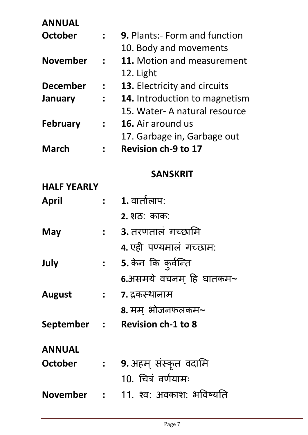| <b>ANNUAL</b> |  |  |  |
|---------------|--|--|--|
|               |  |  |  |

| <b>October</b>     |                  | <b>9. Plants:- Form and function</b>        |
|--------------------|------------------|---------------------------------------------|
|                    |                  | 10. Body and movements                      |
| <b>November</b>    | $\mathbb{R}^+$   | 11. Motion and measurement<br>12. Light     |
| <b>December</b>    | $\ddot{\cdot}$   | <b>13.</b> Electricity and circuits         |
| <b>January</b>     | $\ddot{\cdot}$   | 14. Introduction to magnetism               |
|                    |                  | 15. Water- A natural resource               |
| <b>February</b>    |                  | <b>16.</b> Air around us                    |
|                    |                  | 17. Garbage in, Garbage out                 |
| <b>March</b>       |                  | <b>Revision ch-9 to 17</b>                  |
|                    |                  | <b>SANSKRIT</b>                             |
| <b>HALF YEARLY</b> |                  |                                             |
| <b>April</b>       | $\mathbf{r}$     | $1.$ वार्तालाप:                             |
|                    |                  | <b>2. शठ: काक:</b>                          |
| May                | $\ddot{\bullet}$ | 3. तरणतालं गच्छामि                          |
|                    |                  | 4. एही पण्यमालं गच्छाम:                     |
| July               |                  | 5. केन कि कुर्वन्ति                         |
|                    |                  | 6.असमये वचनम् हि घातकम~                     |
| <b>August</b>      |                  | ः न्न्दर्भस्थानाम                           |
|                    |                  | 8. मम् भोजनफलकम~                            |
|                    |                  | September : Revision ch-1 to 8              |
| <b>ANNUAL</b>      |                  |                                             |
| <b>October</b>     |                  | <b>:     9.</b> अहम्  संस्कृत  वदामि        |
|                    |                  | 10. चित्रं वर्णयामः                         |
|                    |                  | <b>November : 11. श्व</b> : अवकाश: भविष्यति |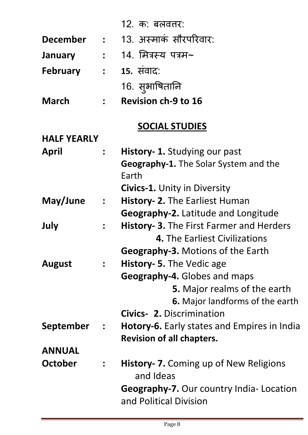|                    |                | 12. क: बलवत्तर:                                    |
|--------------------|----------------|----------------------------------------------------|
| <b>December</b>    |                | : 13. अस्माकं सौरपरिवार:                           |
| <b>January</b>     |                | <b>:      14. मित्रस्य पत्रम~</b>                  |
| <b>February</b>    |                | <b>: 15.</b> संवाद:                                |
|                    |                | 16. सुभाषितानि                                     |
| <b>March</b>       | $\frac{1}{2}$  | <b>Revision ch-9 to 16</b>                         |
|                    |                | <b>SOCIAL STUDIES</b>                              |
| <b>HALF YEARLY</b> |                |                                                    |
| April              |                | <b>History- 1.</b> Studying our past               |
|                    |                | <b>Geography-1.</b> The Solar System and the       |
|                    |                | Earth                                              |
|                    |                | <b>Civics-1.</b> Unity in Diversity                |
| May/June           | $\frac{1}{2}$  | <b>History- 2.</b> The Earliest Human              |
|                    |                | <b>Geography-2.</b> Latitude and Longitude         |
| July               |                | <b>History- 3.</b> The First Farmer and Herders    |
|                    |                | 4. The Earliest Civilizations                      |
|                    |                | Geography-3. Motions of the Earth                  |
| <b>August</b>      | $\frac{1}{2}$  | History- 5. The Vedic age                          |
|                    |                | Geography-4. Globes and maps                       |
|                    |                | <b>5.</b> Major realms of the earth                |
|                    |                | <b>6.</b> Major landforms of the earth             |
|                    |                | <b>Civics- 2. Discrimination</b>                   |
| September          | $\frac{1}{2}$  | <b>Hotory-6.</b> Early states and Empires in India |
|                    |                | <b>Revision of all chapters.</b>                   |
| <b>ANNUAL</b>      |                |                                                    |
| <b>October</b>     | $\ddot{\cdot}$ | History- 7. Coming up of New Religions             |
|                    |                | and Ideas                                          |
|                    |                | <b>Geography-7.</b> Our country India- Location    |
|                    |                | and Political Division                             |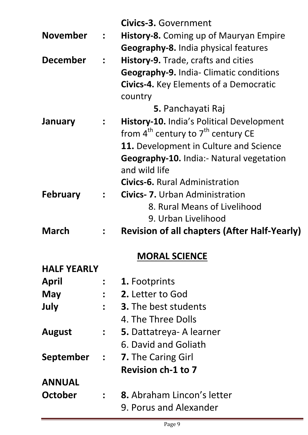| History-8. Coming up of Mauryan Empire<br><b>Geography-8.</b> India physical features<br><b>Geography-9.</b> India- Climatic conditions<br><b>Civics-4.</b> Key Elements of a Democratic<br><b>History-10.</b> India's Political Development<br>11. Development in Culture and Science<br><b>Geography-10.</b> India:- Natural vegetation |
|-------------------------------------------------------------------------------------------------------------------------------------------------------------------------------------------------------------------------------------------------------------------------------------------------------------------------------------------|
|                                                                                                                                                                                                                                                                                                                                           |
|                                                                                                                                                                                                                                                                                                                                           |
|                                                                                                                                                                                                                                                                                                                                           |
|                                                                                                                                                                                                                                                                                                                                           |
|                                                                                                                                                                                                                                                                                                                                           |
|                                                                                                                                                                                                                                                                                                                                           |
|                                                                                                                                                                                                                                                                                                                                           |
|                                                                                                                                                                                                                                                                                                                                           |
|                                                                                                                                                                                                                                                                                                                                           |
|                                                                                                                                                                                                                                                                                                                                           |
|                                                                                                                                                                                                                                                                                                                                           |
|                                                                                                                                                                                                                                                                                                                                           |
|                                                                                                                                                                                                                                                                                                                                           |
|                                                                                                                                                                                                                                                                                                                                           |
|                                                                                                                                                                                                                                                                                                                                           |
|                                                                                                                                                                                                                                                                                                                                           |
| <b>Revision of all chapters (After Half-Yearly)</b>                                                                                                                                                                                                                                                                                       |
|                                                                                                                                                                                                                                                                                                                                           |
|                                                                                                                                                                                                                                                                                                                                           |
|                                                                                                                                                                                                                                                                                                                                           |
|                                                                                                                                                                                                                                                                                                                                           |
|                                                                                                                                                                                                                                                                                                                                           |
|                                                                                                                                                                                                                                                                                                                                           |
|                                                                                                                                                                                                                                                                                                                                           |
|                                                                                                                                                                                                                                                                                                                                           |
|                                                                                                                                                                                                                                                                                                                                           |
|                                                                                                                                                                                                                                                                                                                                           |
|                                                                                                                                                                                                                                                                                                                                           |
|                                                                                                                                                                                                                                                                                                                                           |
|                                                                                                                                                                                                                                                                                                                                           |
|                                                                                                                                                                                                                                                                                                                                           |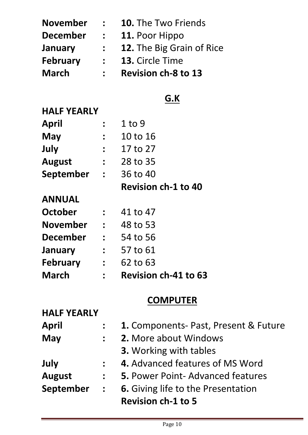| <b>March</b>    | $\frac{1}{2}$    | <b>Revision ch-8 to 13</b> |
|-----------------|------------------|----------------------------|
| <b>February</b> | $\mathbf{L}$     | 13. Circle Time            |
| <b>January</b>  | $\ddot{\bullet}$ | 12. The Big Grain of Rice  |
| <b>December</b> | $\ddot{\cdot}$   | 11. Poor Hippo             |
| <b>November</b> | $\ddot{\cdot}$   | <b>10.</b> The Two Friends |

# **G.K**

#### **HALF YEARLY**

|               |                                         | <b>Revision ch-1 to 40</b> |
|---------------|-----------------------------------------|----------------------------|
| September     | $\mathcal{L} = \frac{1}{2} \mathcal{L}$ | 36 to 40                   |
| <b>August</b> | $\ddot{\cdot}$                          | 28 to 35                   |
| July          | $\mathbf{L}$                            | 17 to 27                   |
| <b>May</b>    | $\ddot{\bullet}$                        | 10 to 16                   |
| April         |                                         | $1$ to 9                   |

## **ANNUAL**

**HALF HALF ARRIVE** 

| <b>March</b>    |              | <b>Revision ch-41 to 63</b> |
|-----------------|--------------|-----------------------------|
| <b>February</b> | $\mathbf{L}$ | 62 to 63                    |
| January         | $\mathbf{r}$ | 57 to 61                    |
| <b>December</b> | $\mathbf{L}$ | 54 to 56                    |
| <b>November</b> | $\mathbf{r}$ | 48 to 53                    |
| <b>October</b>  |              | 41 to 47                    |

### **COMPUTER**

| <b>HALF YEARLY</b> |                      |                                              |
|--------------------|----------------------|----------------------------------------------|
| <b>April</b>       |                      | <b>1.</b> Components- Past, Present & Future |
| <b>May</b>         | $\mathbf{L}$         | 2. More about Windows                        |
|                    |                      | 3. Working with tables                       |
| July               | $\frac{1}{2}$        | 4. Advanced features of MS Word              |
| <b>August</b>      | $\ddot{\bullet}$     | <b>5. Power Point-Advanced features</b>      |
| September          | $\ddot{\phantom{a}}$ | <b>6.</b> Giving life to the Presentation    |
|                    |                      | <b>Revision ch-1 to 5</b>                    |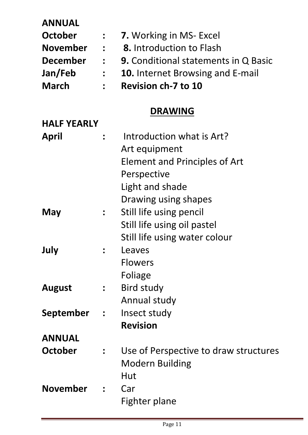| <b>ANNUAL</b>      |                             |                                             |
|--------------------|-----------------------------|---------------------------------------------|
| October            |                             | <b>7.</b> Working in MS- Excel              |
| <b>November</b>    | $\mathbf{r}$                | <b>8.</b> Introduction to Flash             |
| <b>December</b>    | $\mathbb{R}^2$              | <b>9.</b> Conditional statements in Q Basic |
| Jan/Feb            | $\mathbb{R}^n$              | <b>10.</b> Internet Browsing and E-mail     |
| <b>March</b>       |                             | <b>Revision ch-7 to 10</b>                  |
|                    |                             | <b>DRAWING</b>                              |
| <b>HALF YEARLY</b> |                             |                                             |
| April              |                             | Introduction what is Art?                   |
|                    |                             | Art equipment                               |
|                    |                             | <b>Element and Principles of Art</b>        |
|                    |                             | Perspective                                 |
|                    |                             | Light and shade                             |
|                    |                             | Drawing using shapes                        |
| May                |                             | Still life using pencil                     |
|                    |                             | Still life using oil pastel                 |
|                    |                             | Still life using water colour               |
| July               |                             | Leaves                                      |
|                    |                             | <b>Flowers</b>                              |
|                    |                             | Foliage                                     |
| <b>August</b>      |                             | <b>Bird study</b>                           |
|                    |                             | Annual study                                |
| September          | $\mathcal{L} = \mathcal{L}$ | Insect study                                |
|                    |                             | <b>Revision</b>                             |
| <b>ANNUAL</b>      |                             |                                             |
| <b>October</b>     |                             | Use of Perspective to draw structures       |
|                    |                             | <b>Modern Building</b>                      |
|                    |                             | Hut                                         |
| <b>November</b>    |                             | Car                                         |
|                    |                             | Fighter plane                               |